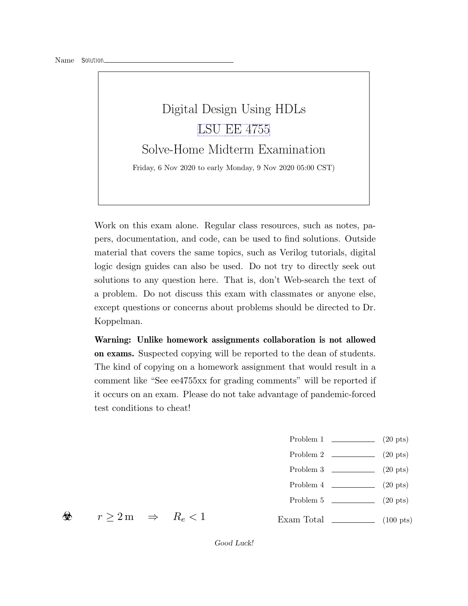# Digital Design Using HDLs [LSU EE 4755](https://www.ece.lsu.edu/koppel/v/) Solve-Home Midterm Examination Friday, 6 Nov 2020 to early Monday, 9 Nov 2020 05:00 CST)

Work on this exam alone. Regular class resources, such as notes, papers, documentation, and code, can be used to find solutions. Outside material that covers the same topics, such as Verilog tutorials, digital logic design guides can also be used. Do not try to directly seek out solutions to any question here. That is, don't Web-search the text of a problem. Do not discuss this exam with classmates or anyone else, except questions or concerns about problems should be directed to Dr. Koppelman.

Warning: Unlike homework assignments collaboration is not allowed on exams. Suspected copying will be reported to the dean of students. The kind of copying on a homework assignment that would result in a comment like "See ee4755xx for grading comments" will be reported if it occurs on an exam. Please do not take advantage of pandemic-forced test conditions to cheat!

- Problem 1  $\qquad \qquad (20 \text{ pts})$
- Problem 2  $\qquad \qquad$  (20 pts)
- Problem  $3 \t\t(20 \text{ pts})$
- Problem 4  $\qquad \qquad (20 \text{ pts})$
- Problem 5 (20 pts)

Exam Total  $\qquad \qquad$  (100 pts)

☣

 $r \geq 2 \,\mathrm{m} \Rightarrow R_e < 1$ 

Good Luck!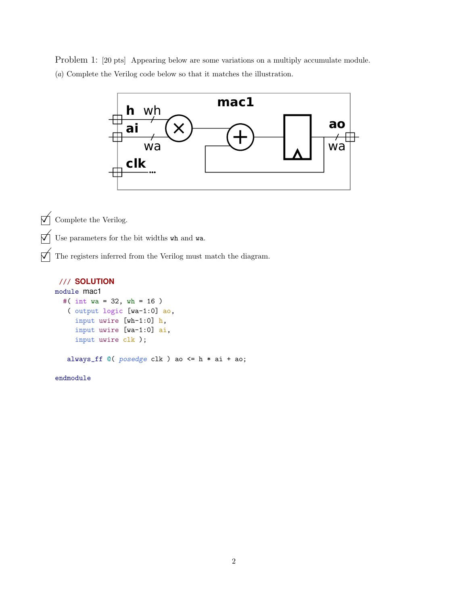Problem 1: [20 pts] Appearing below are some variations on a multiply accumulate module. (a) Complete the Verilog code below so that it matches the illustration.



 $\sqrt{\phantom{a}}$  Complete the Verilog.

 $\overrightarrow{\bigvee}$  Use parameters for the bit widths wh and wa.

 $\mathcal{A}$  The registers inferred from the Verilog must match the diagram.

## /// **SOLUTION**

```
module mac1
  #( int wa = 32, wh = 16 )
   ( output logic [wa-1:0] ao,
     input uwire [wh-1:0] h,
     input uwire [wa-1:0] ai,
     input uwire clk );
```
always\_ff @( posedge clk ) ao <= h \* ai + ao;

endmodule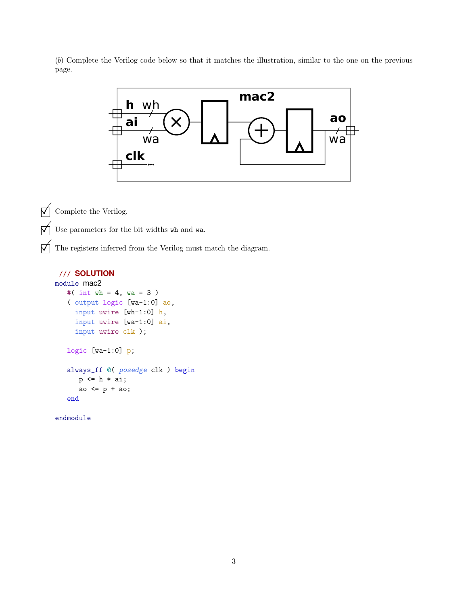(b) Complete the Verilog code below so that it matches the illustration, similar to the one on the previous page.



### /// **SOLUTION**

```
module mac2
   #( int wh = 4, wa = 3)
   ( output logic [wa-1:0] ao,
     input uwire [wh-1:0] h,
     input uwire [wa-1:0] ai,
     input uwire clk );
   logic [wa-1:0] p;
   always_ff @( posedge clk ) begin
      p \leq h * ai;ao <= p + ao;
   end
```
endmodule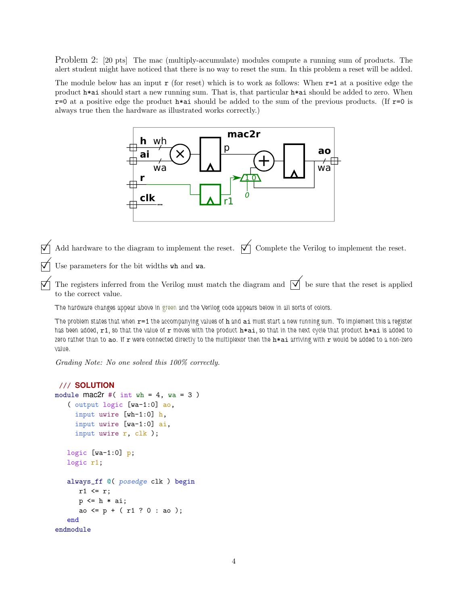Problem 2: [20 pts] The mac (multiply-accumulate) modules compute a running sum of products. The alert student might have noticed that there is no way to reset the sum. In this problem a reset will be added.

The module below has an input  $r$  (for reset) which is to work as follows: When  $r=1$  at a positive edge the product h\*ai should start a new running sum. That is, that particular h\*ai should be added to zero. When  $r=0$  at a positive edge the product  $h*ai$  should be added to the sum of the previous products. (If  $r=0$  is always true then the hardware as illustrated works correctly.)



Add hardware to the diagram to implement the reset.  $\forall \uparrow$  Complete the Verilog to implement the reset.

Use parameters for the bit widths wh and wa.

The registers inferred from the Verilog must match the diagram and  $\overrightarrow{\mathcal{A}}$  be sure that the reset is applied to the correct value.

The hardware changes appear above in green and the Verilog code appears below in all sorts of colors.

The problem states that when  $r=1$  the accompanying values of  $h$  and  $ai$  must start a new running sum. To implement this a register has been added,  $r1$ , so that the value of r moves with the product  $h * a i$ , so that in the next cycle that product  $h * a i$  is added to zero rather than to ao. If  $r$  were connected directly to the multiplexor then the  $h * a i$  arriving with  $r$  would be added to a non-zero value.

Grading Note: No one solved this 100% correctly.

```
/// SOLUTION
module \text{mac2r }#(\text{int wh} = 4, \text{wa} = 3)( output logic [wa-1:0] ao,
     input uwire [wh-1:0] h,
     input uwire [wa-1:0] ai,
     input uwire r, clk );
   logic [wa-1:0] p;
   logic r1;
   always_ff @( posedge clk ) begin
      r1 \leq r;
      p \leq h * ai;ao \leq p + (r1 ? 0 : ao);
   end
endmodule
```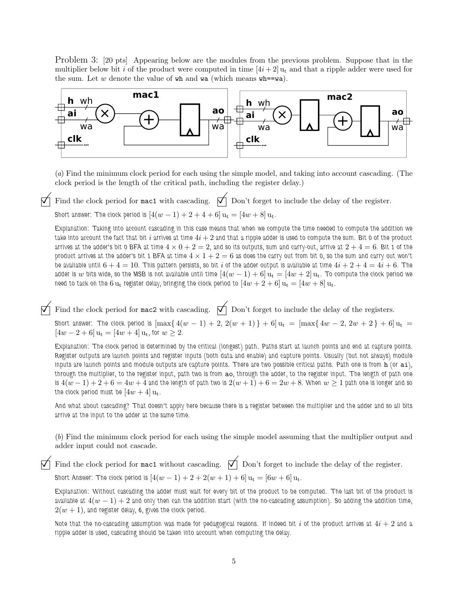Problem 3: [20 pts] Appearing below are the modules from the previous problem. Suppose that in the multiplier below bit i of the product were computed in time  $[4i + 2]$  u<sub>t</sub> and that a ripple adder were used for the sum. Let  $w$  denote the value of  $wh$  and  $wa$  (which means  $wh = wa$ ).



(a) Find the minimum clock period for each using the simple model, and taking into account cascading. (The clock period is the length of the critical path, including the register delay.)

Find the clock period for mac1 with cascading.  $\overrightarrow{\bigwedge}$  Don't forget to include the delay of the register. Short answer: The clock period is  $[4(w - 1) + 2 + 4 + 6] u_t = [4w + 8] u_t$ .

Explanation: Taking into account cascading in this case means that when we compute the time needed to compute the addition we take into account the fact that bit i arrives at time  $4i + 2$  and that a ripple adder is used to compute the sum. Bit 0 of the product arrives at the adder's bit 0 BFA at time  $4 \times 0 + 2 = 2$ , and so its outputs, sum and carry-out, arrive at  $2 + 4 = 6$ . Bit 1 of the product arrives at the adder's bit 1 BFA at time  $4 \times 1 + 2 = 6$  as does the carry out from bit 0, so the sum and carry out won't be available until  $6+4=10$ . This pattern persists, so bit i of the adder output is available at time  $4i+2+4=4i+6$ . The adder is w bits wide, so the MSB is not available until time  $[4(w - 1) + 6]u_t = [4w + 2]u_t$ . To compute the clock period we need to tack on the 6  $u_t$  register delay, bringing the clock period to  $[4w + 2 + 6]u_t = [4w + 8]u_t$ .

Find the clock period for mac2 with cascading.  $\Box$  Don't forget to include the delay of the registers.

Short answer: The clock period is  $[\max\{4(w-1)+2, 2(w+1)\} + 6]u_t = [\max\{4w-2, 2w+2\} + 6]u_t =$  $[4w - 2 + 6]$   $u_t = [4w + 4]$   $u_t$ , for  $w \ge 2$ .

Explanation: The clock period is determined by the critical (longest) path. Paths start at launch points and end at capture points. Register outputs are launch points and register inputs (both data and enable) and capture points. Usually (but not always) module inputs are launch points and module outputs are capture points. There are two possible critical paths. Path one is from h (or ai), through the multiplier, to the register input, path two is from ao, through the adder, to the register input. The length of path one is  $4(w-1)+2+6=4w+4$  and the length of path two is  $2(w+1)+6=2w+8$ . When  $w\geq 1$  path one is longer and so the clock period must be  $[4w + 4]$   $u_t$ .

And what about cascading? That doesn't apply here because there is a register between the multiplier and the adder and so all bits arrive at the input to the adder at the same time.

(b) Find the minimum clock period for each using the simple model assuming that the multiplier output and adder input could not cascade.

Find the clock period for mac1 without cascading.  $\bigtimes$  Don't forget to include the delay of the register.

Short Answer: The clock period is  $[4(w - 1) + 2 + 2(w + 1) + 6] u_t = [6w + 6] u_t$ .

Explanation: Without cascading the adder must wait for every bit of the product to be computed. The last bit of the product is available at  $4(w - 1) + 2$  and only then can the addition start (with the no-cascading assumption). So adding the addition time,  $2(w + 1)$ , and register delay, 6, gives the clock period.

Note that the no-cascading assumption was made for pedagogical reasons. If indeed bit i of the product arrives at  $4i+2$  and a ripple adder is used, cascading should be taken into account when computing the delay.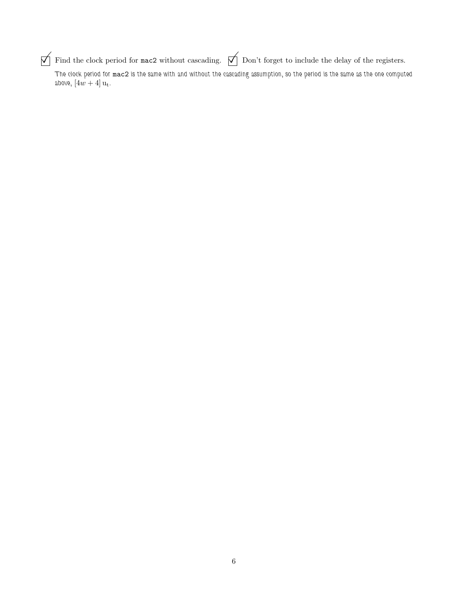$\Box$  Find the clock period for mac2 without cascading.  $\Box$  Don't forget to include the delay of the registers.

The clock period for mac2 is the same with and without the cascading assumption, so the period is the same as the one computed above,  $[4w + 4]$  u<sub>t</sub>.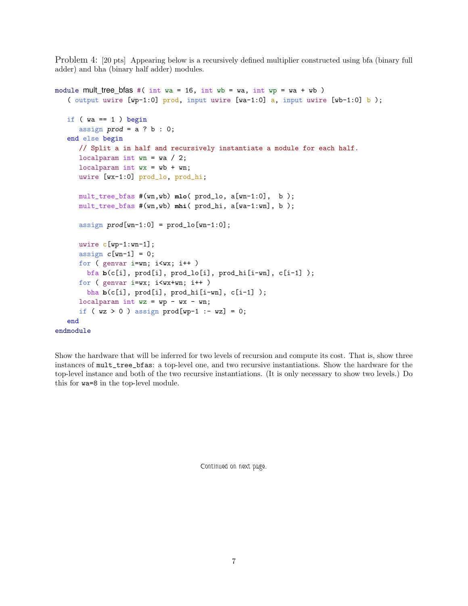Problem 4: [20 pts] Appearing below is a recursively defined multiplier constructed using bfa (binary full adder) and bha (binary half adder) modules.

```
module mult tree bfas #( int wa = 16, int wb = wa, int wp = wa + wb)
   ( output uwire [wp-1:0] prod, input uwire [wa-1:0] a, input uwire [wb-1:0] b);
   if (wa == 1) begin
      assign prod = a ? b : 0;end else begin
     // Split a in half and recursively instantiate a module for each half.
     localparam int wn = wa / 2;
     localparam int wx = wb + wn;uwire [wx-1:0] prod_lo, prod_hi;
     mult_tree_bfas #(wn,wb) mlo( prod_lo, a[wn-1:0], b );
     mult_tree_bfas #(wn,wb) mhi( prod_hi, a[wa-1:wn], b );
      assign prod(wn-1:0] = prod\_lo[wn-1:0];
     uwire c[wp-1:wn-1];
     assign c[wn-1] = 0;
     for ( genvar i=wn; i<wx; i++ )
       bfa b(c[i], prod[i], prod_lo[i], prod_hi[i-wn], c[i-1] );
     for ( genvar i=wx; i\leq wx+wn; i++ )
       bha b(c[i], prod[i], prod_hi[i-wn], c[i-1] );
     localparam int wz = wp - wx - wn;if (wz > 0) assign prod[wp-1 := wz] = 0;
   end
endmodule
```
Show the hardware that will be inferred for two levels of recursion and compute its cost. That is, show three instances of mult\_tree\_bfas: a top-level one, and two recursive instantiations. Show the hardware for the top-level instance and both of the two recursive instantiations. (It is only necessary to show two levels.) Do this for wa=8 in the top-level module.

Continued on next page.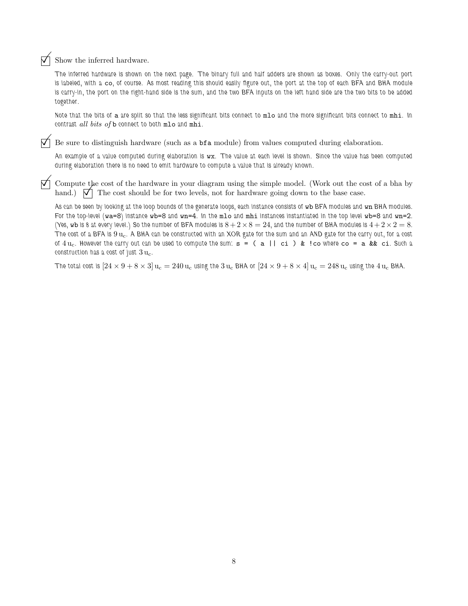### $\vec{\nabla}$  Show the inferred hardware.

The inferred hardware is shown on the next page. The binary full and half adders are shown as boxes. Only the carry-out port is labeled, with a co, of course. As most reading this should easily figure out, the port at the top of each BFA and BHA module is carry-in, the port on the right-hand side is the sum, and the two BFA inputs on the left hand side are the two bits to be added together.

Note that the bits of a are split so that the less significant bits connect to mlo and the more significant bits connect to mhi. In contrast all bits of b connect to both mlo and mhi.

 $\nabla$  Be sure to distinguish hardware (such as a **bfa** module) from values computed during elaboration.

An example of a value computed during elaboration is wx. The value at each level is shown. Since the value has been computed during elaboration there is no need to emit hardware to compute a value that is already known.

 Compute the cost of the hardware in your diagram using the simple model. (Work out the cost of a bha by hand.)  $\nabla$  The cost should be for two levels, not for hardware going down to the base case.

As can be seen by looking at the loop bounds of the generate loops, each instance consists of wb BFA modules and wn BHA modules. For the top-level  $(wa=8)$  instance  $wb=8$  and  $wn=4$ . In the mlo and mhi instances instantiated in the top level  $wb=8$  and  $wn=2$ . (Yes, wb is 8 at every level.) So the number of BFA modules is  $8 + 2 \times 8 = 24$ , and the number of BHA modules is  $4 + 2 \times 2 = 8$ . The cost of a BFA is  $9 u_c$ . A BHA can be constructed with an XOR gate for the sum and an AND gate for the carry out, for a cost of  $4 u_c$ . However the carry out can be used to compute the sum:  $s = (a || c_i)$  & ! co where  $c_o = a$  & & ci. Such a construction has a cost of just  $3 u_c$ .

The total cost is  $[24 \times 9 + 8 \times 3] u_c = 240 u_c$  using the 3  $u_c$  BHA or  $[24 \times 9 + 8 \times 4] u_c = 248 u_c$  using the 4  $u_c$  BHA.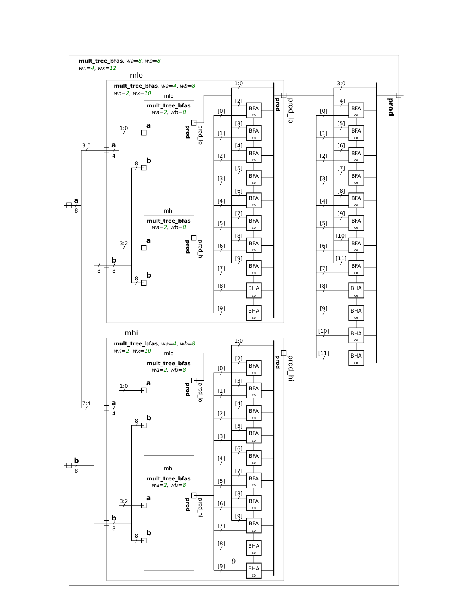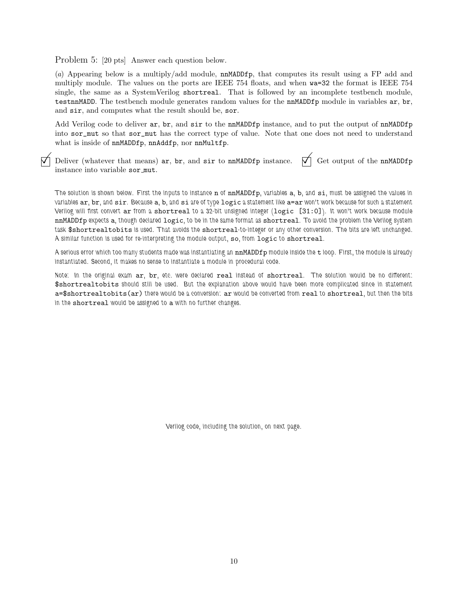Problem 5: [20 pts] Answer each question below.

(a) Appearing below is a multiply/add module, nnMADDfp, that computes its result using a FP add and multiply module. The values on the ports are IEEE 754 floats, and when wa=32 the format is IEEE 754 single, the same as a SystemVerilog shortreal. That is followed by an incomplete testbench module, testnnMADD. The testbench module generates random values for the nnMADDfp module in variables ar, br, and sir, and computes what the result should be, sor.

Add Verilog code to deliver ar, br, and sir to the nnMADDfp instance, and to put the output of nnMADDfp into sor\_mut so that sor\_mut has the correct type of value. Note that one does not need to understand what is inside of  $nnMADDfp$ ,  $nnAddfp$ , nor  $nnMultfp$ .

 $\vec{\nabla}$  Deliver (whatever that means) ar, br, and sir to nnMADDfp instance.  $\vec{\nabla}$  Get output of the nnMADDfp instance into variable sor mut.

The solution is shown below. First the inputs to instance n of nnMADDfp, variables a, b, and si, must be assigned the values in variables ar, br, and sir. Because a, b, and si are of type logic a statement like a=ar won't work because for such a statement Verilog will first convert ar from a shortreal to a 32-bit unsigned integer (logic [31:0]). It won't work because module nnMADDfp expects a, though declared logic, to be in the same format as shortreal. To avoid the problem the Verilog system task \$shortrealtobits is used. That avoids the shortreal-to-integer or any other conversion. The bits are left unchanged. A similar function is used for re-interpreting the module output, so, from logic to shortreal.

A serious error which too many students made was instantiating an nnMADDfp module inside the t loop. First, the module is already instantiated. Second, it makes no sense to instantiate a module in procedural code.

Note: In the original exam ar, br, etc. were declared real instead of shortreal. The solution would be no different: \$shortrealtobits should still be used. But the explanation above would have been more complicated since in statement a=\$shortrealtobits(ar) there would be a conversion: ar would be converted from real to shortreal, but then the bits in the shortreal would be assigned to a with no further changes.

Verilog code, including the solution, on next page.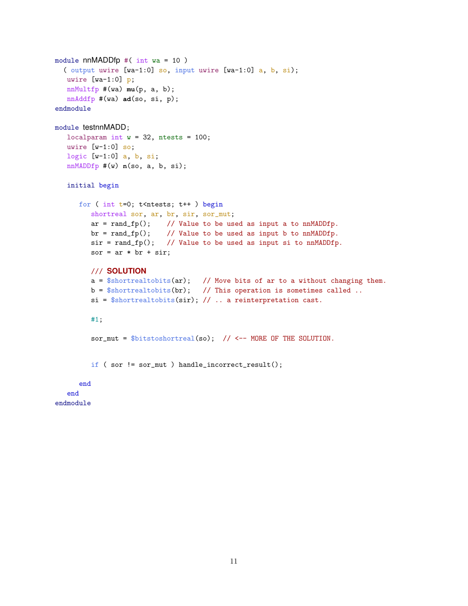```
module nnMADDfp #( int wa = 10)
  ( output uwire [wa-1:0] so, input uwire [wa-1:0] a, b, si);
  uwire [wa-1:0] p;
  nnMultfp #(wa) mu(p, a, b);
   nnAddfp #(wa) ad(so, si, p);
endmodule
module testnnMADD;
   localparam int w = 32, ntests = 100;
  uwire [v-1:0] so;
  logic [w-1:0] a, b, si;
   nnMADDfp #(w) n(so, a, b, si);
   initial begin
      for ( int t=0; t<ntests; t++ ) begin
         shortreal sor, ar, br, sir, sor_mut;
         ar = rand_f(p)); // Value to be used as input a to nnMADDfp.
         br = rand_f(p(); // Value to be used as input b to nnMADDfp.
         sir = rand_fp(); // Value to be used as input si to nnMADDfp.
         sor = ar * br + sir;
         /// SOLUTION
         a = $shortreal \times (ar); // Move bits of ar to a without changing them.
         b = $shortreal \times (br); // This operation is sometimes called ..
         si = $shortreal \times (sir); // ... a reinforcement \text{cast}.#1;
         sor\_mut = $bits to short real(so); // <-- MORE OF THE SOLUTION.
         if ( sor != sor_mut ) handle_incorrect_result();
      end
   end
endmodule
```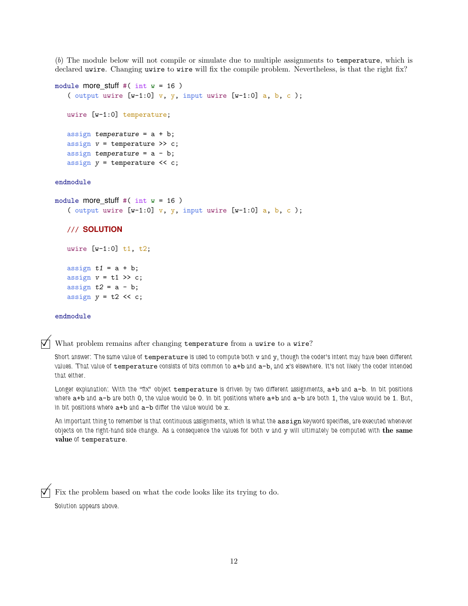(b) The module below will not compile or simulate due to multiple assignments to temperature, which is declared uwire. Changing uwire to wire will fix the compile problem. Nevertheless, is that the right fix?

```
module more_stuff #( int w = 16 )
   ( output uwire [w-1:0] v, y, input uwire [w-1:0] a, b, c);
  uwire [w-1:0] temperature;
   assign temperature = a + b;
  assign v = temperature >> c;
  assign temperature = a - b;
  assign y = temperature << c;
endmodule
module more_stuff #( int w = 16 )
   ( output uwire [w-1:0] v, y, input uwire [w-1:0] a, b, c);
   /// SOLUTION
  uwire [w-1:0] t1, t2;
```

```
assign t1 = a + b;
assign v = t1 \gg c;
assign t2 = a - b;
assign y = t2 \lt c;
```
#### endmodule

 $\nabla$  What problem remains after changing temperature from a uwire to a wire?

Short answer: The same value of temperature is used to compute both v and y, though the coder's intent may have been different values. That value of temperature consists of bits common to a+b and a-b, and x's elsewhere. It's not likely the coder intended that either.

Longer explanation: With the "fix" object temperature is driven by two different assignments, a+b and a-b. In bit positions where a+b and a-b are both 0, the value would be 0. In bit positions where a+b and a-b are both 1, the value would be 1. But, in bit positions where  $a+b$  and  $a-b$  differ the value would be x.

An important thing to remember is that continuous assignments, which is what the assign keyword specifies, are executed whenever objects on the right-hand side change. As a consequence the values for both  $v$  and  $y$  will ultimately be computed with the same value of temperature.

 $\vec{\nabla}$  Fix the problem based on what the code looks like its trying to do. Solution appears above.